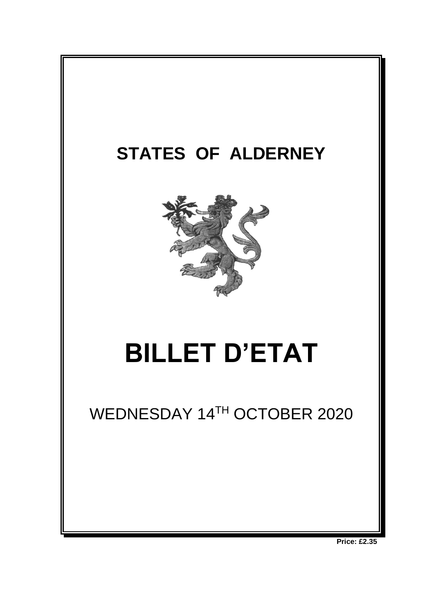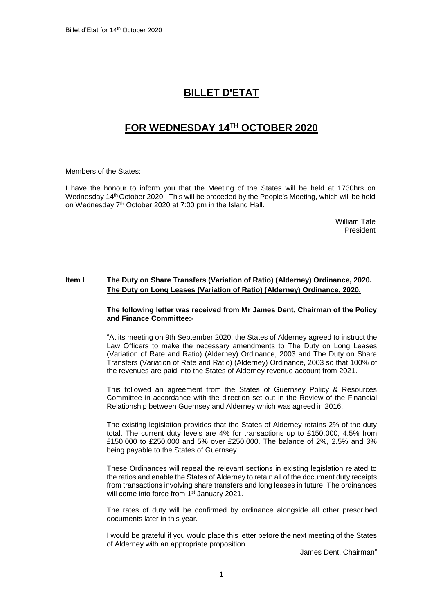# **BILLET D'ETAT**

# **FOR WEDNESDAY 14TH OCTOBER 2020**

Members of the States:

I have the honour to inform you that the Meeting of the States will be held at 1730hrs on Wednesday 14<sup>th</sup> October 2020. This will be preceded by the People's Meeting, which will be held on Wednesday 7<sup>th</sup> October 2020 at 7:00 pm in the Island Hall.

> William Tate President

# **Item I The Duty on Share Transfers (Variation of Ratio) (Alderney) Ordinance, 2020. The Duty on Long Leases (Variation of Ratio) (Alderney) Ordinance, 2020.**

# **The following letter was received from Mr James Dent, Chairman of the Policy and Finance Committee:-**

"At its meeting on 9th September 2020, the States of Alderney agreed to instruct the Law Officers to make the necessary amendments to The Duty on Long Leases (Variation of Rate and Ratio) (Alderney) Ordinance, 2003 and The Duty on Share Transfers (Variation of Rate and Ratio) (Alderney) Ordinance, 2003 so that 100% of the revenues are paid into the States of Alderney revenue account from 2021.

This followed an agreement from the States of Guernsey Policy & Resources Committee in accordance with the direction set out in the Review of the Financial Relationship between Guernsey and Alderney which was agreed in 2016.

The existing legislation provides that the States of Alderney retains 2% of the duty total. The current duty levels are 4% for transactions up to £150,000, 4.5% from £150,000 to £250,000 and 5% over £250,000. The balance of 2%, 2.5% and 3% being payable to the States of Guernsey.

These Ordinances will repeal the relevant sections in existing legislation related to the ratios and enable the States of Alderney to retain all of the document duty receipts from transactions involving share transfers and long leases in future. The ordinances will come into force from 1<sup>st</sup> January 2021.

The rates of duty will be confirmed by ordinance alongside all other prescribed documents later in this year.

I would be grateful if you would place this letter before the next meeting of the States of Alderney with an appropriate proposition.

James Dent, Chairman"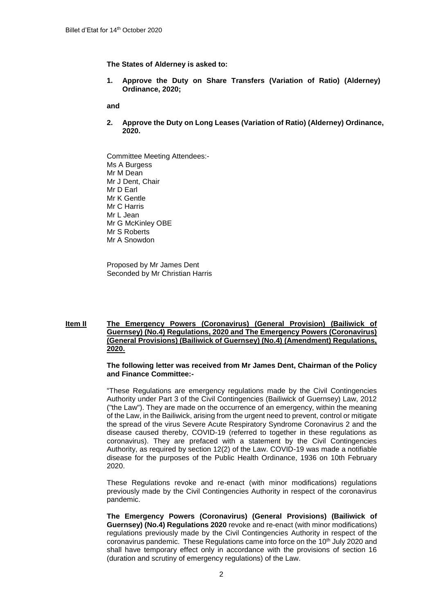**The States of Alderney is asked to:** 

**1. Approve the Duty on Share Transfers (Variation of Ratio) (Alderney) Ordinance, 2020;** 

**and**

- **2. Approve the Duty on Long Leases (Variation of Ratio) (Alderney) Ordinance, 2020.**
- Committee Meeting Attendees:- Ms A Burgess Mr M Dean Mr J Dent, Chair Mr D Earl Mr K Gentle Mr C Harris Mr L Jean Mr G McKinley OBE Mr S Roberts Mr A Snowdon

Proposed by Mr James Dent Seconded by Mr Christian Harris

# **Item II The Emergency Powers (Coronavirus) (General Provision) (Bailiwick of Guernsey) (No.4) Regulations, 2020 and The Emergency Powers (Coronavirus) (General Provisions) (Bailiwick of Guernsey) (No.4) (Amendment) Regulations, 2020.**

# **The following letter was received from Mr James Dent, Chairman of the Policy and Finance Committee:-**

"These Regulations are emergency regulations made by the Civil Contingencies Authority under Part 3 of the Civil Contingencies (Bailiwick of Guernsey) Law, 2012 ("the Law"). They are made on the occurrence of an emergency, within the meaning of the Law, in the Bailiwick, arising from the urgent need to prevent, control or mitigate the spread of the virus Severe Acute Respiratory Syndrome Coronavirus 2 and the disease caused thereby, COVID-19 (referred to together in these regulations as coronavirus). They are prefaced with a statement by the Civil Contingencies Authority, as required by section 12(2) of the Law. COVID-19 was made a notifiable disease for the purposes of the Public Health Ordinance, 1936 on 10th February 2020.

These Regulations revoke and re-enact (with minor modifications) regulations previously made by the Civil Contingencies Authority in respect of the coronavirus pandemic.

**The Emergency Powers (Coronavirus) (General Provisions) (Bailiwick of Guernsey) (No.4) Regulations 2020** revoke and re-enact (with minor modifications) regulations previously made by the Civil Contingencies Authority in respect of the coronavirus pandemic. These Regulations came into force on the  $10<sup>th</sup>$  July 2020 and shall have temporary effect only in accordance with the provisions of section 16 (duration and scrutiny of emergency regulations) of the Law.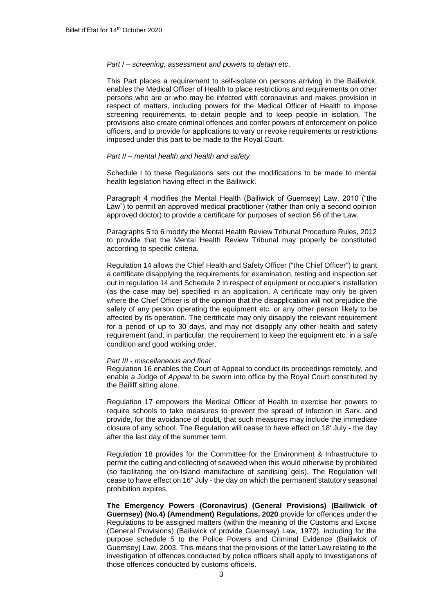#### *Part I – screening, assessment and powers to detain etc*.

This Part places a requirement to self-isolate on persons arriving in the Bailiwick, enables the Medical Officer of Health to place restrictions and requirements on other persons who are or who may be infected with coronavirus and makes provision in respect of matters, including powers for the Medical Officer of Health to impose screening requirements, to detain people and to keep people in isolation. The provisions also create criminal offences and confer powers of enforcement on police officers, and to provide for applications to vary or revoke requirements or restrictions imposed under this part to be made to the Royal Court.

### *Part II – mental health and health and safety*

Schedule I to these Regulations sets out the modifications to be made to mental health legislation having effect in the Bailiwick.

Paragraph 4 modifies the Mental Health (Bailiwick of Guernsey) Law, 2010 ("the Law") to permit an approved medical practitioner (rather than only a second opinion approved doctor) to provide a certificate for purposes of section 56 of the Law.

Paragraphs 5 to 6 modify the Mental Health Review Tribunal Procedure Rules, 2012 to provide that the Mental Health Review Tribunal may properly be constituted according to specific criteria.

Regulation 14 allows the Chief Health and Safety Officer ("the Chief Officer") to grant a certificate disapplying the requirements for examination, testing and inspection set out in regulation 14 and Schedule 2 in respect of equipment or occupier's installation (as the case may be) specified in an application. A certificate may only be given where the Chief Officer is of the opinion that the disapplication will not prejudice the safety of any person operating the equipment etc. or any other person likely to be affected by its operation. The certificate may only disapply the relevant requirement for a period of up to 30 days, and may not disapply any other health and safety requirement (and, in particular, the requirement to keep the equipment etc. in a safe condition and good working order.

#### *Part III* - *miscellaneous and final*

Regulation 16 enables the Court of Appeal to conduct its proceedings remotely, and enable a Judge of *Appeal* to be sworn into office by the Royal Court constituted by the Bailiff sitting alone.

Regulation 17 empowers the Medical Officer of Health to exercise her powers to require schools to take measures to prevent the spread of infection in Sark, and provide, for the avoidance of doubt, that such measures may include the immediate closure of any school. The Regulation will cease to have effect on 18' July - the day after the last day of the summer term.

Regulation 18 provides for the Committee for the Environment & Infrastructure to permit the cutting and collecting of seaweed when this would otherwise by prohibited (so facilitating the on-Island manufacture of sanitising gels). The Regulation will cease to have effect on 16" July - the day on which the permanent statutory seasonal prohibition expires.

**The Emergency Powers (Coronavirus) (General Provisions) (Bailiwick of Guernsey) (No.4) (Amendment) Regulations, 2020** provide for offences under the Regulations to be assigned matters (within the meaning of the Customs and Excise (General Provisions) (Bailiwick of provide Guernsey) Law, 1972), including for the purpose schedule 5 to the Police Powers and Criminal Evidence (Bailiwick of Guernsey) Law, 2003. This means that the provisions of the latter Law relating to the investigation of offences conducted by police officers shall apply to Investigations of those offences conducted by customs officers.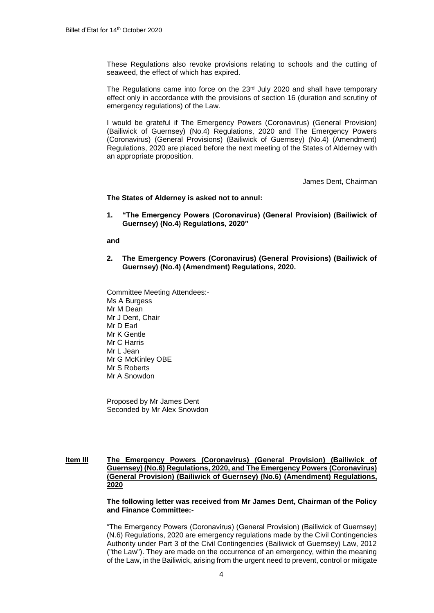These Regulations also revoke provisions relating to schools and the cutting of seaweed, the effect of which has expired.

The Regulations came into force on the  $23<sup>rd</sup>$  July 2020 and shall have temporary effect only in accordance with the provisions of section 16 (duration and scrutiny of emergency regulations) of the Law.

I would be grateful if The Emergency Powers (Coronavirus) (General Provision) (Bailiwick of Guernsey) (No.4) Regulations, 2020 and The Emergency Powers (Coronavirus) (General Provisions) (Bailiwick of Guernsey) (No.4) (Amendment) Regulations, 2020 are placed before the next meeting of the States of Alderney with an appropriate proposition.

James Dent, Chairman

**The States of Alderney is asked not to annul:**

**1. "The Emergency Powers (Coronavirus) (General Provision) (Bailiwick of Guernsey) (No.4) Regulations, 2020"**

#### **and**

- **2. The Emergency Powers (Coronavirus) (General Provisions) (Bailiwick of Guernsey) (No.4) (Amendment) Regulations, 2020.**
- Committee Meeting Attendees:- Ms A Burgess Mr M Dean Mr J Dent, Chair Mr D Earl Mr K Gentle Mr C Harris Mr L Jean Mr G McKinley OBE Mr S Roberts Mr A Snowdon

Proposed by Mr James Dent Seconded by Mr Alex Snowdon

# **Item III The Emergency Powers (Coronavirus) (General Provision) (Bailiwick of Guernsey) (No.6) Regulations, 2020, and The Emergency Powers (Coronavirus) (General Provision) (Bailiwick of Guernsey) (No.6) (Amendment) Regulations, 2020**

**The following letter was received from Mr James Dent, Chairman of the Policy and Finance Committee:-**

"The Emergency Powers (Coronavirus) (General Provision) (Bailiwick of Guernsey) (N.6) Regulations, 2020 are emergency regulations made by the Civil Contingencies Authority under Part 3 of the Civil Contingencies (Bailiwick of Guernsey) Law, 2012 ("the Law"). They are made on the occurrence of an emergency, within the meaning of the Law, in the Bailiwick, arising from the urgent need to prevent, control or mitigate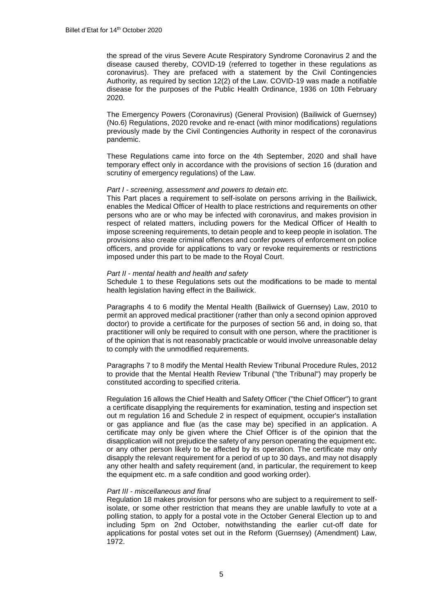the spread of the virus Severe Acute Respiratory Syndrome Coronavirus 2 and the disease caused thereby, COVID-19 (referred to together in these regulations as coronavirus). They are prefaced with a statement by the Civil Contingencies Authority, as required by section 12(2) of the Law. COVID-19 was made a notifiable disease for the purposes of the Public Health Ordinance, 1936 on 10th February 2020.

The Emergency Powers (Coronavirus) (General Provision) (Bailiwick of Guernsey) (No.6) Regulations, 2020 revoke and re-enact (with minor modifications) regulations previously made by the Civil Contingencies Authority in respect of the coronavirus pandemic.

These Regulations came into force on the 4th September, 2020 and shall have temporary effect only in accordance with the provisions of section 16 (duration and scrutiny of emergency regulations) of the Law.

#### *Part I - screening, assessment and powers to detain etc.*

This Part places a requirement to self-isolate on persons arriving in the Bailiwick, enables the Medical Officer of Health to place restrictions and requirements on other persons who are or who may be infected with coronavirus, and makes provision in respect of related matters, including powers for the Medical Officer of Health to impose screening requirements, to detain people and to keep people in isolation. The provisions also create criminal offences and confer powers of enforcement on police officers, and provide for applications to vary or revoke requirements or restrictions imposed under this part to be made to the Royal Court.

## *Part II - mental health and health and safety*

Schedule 1 to these Regulations sets out the modifications to be made to mental health legislation having effect in the Bailiwick.

Paragraphs 4 to 6 modify the Mental Health (Bailiwick of Guernsey) Law, 2010 to permit an approved medical practitioner (rather than only a second opinion approved doctor) to provide a certificate for the purposes of section 56 and, in doing so, that practitioner will only be required to consult with one person, where the practitioner is of the opinion that is not reasonably practicable or would involve unreasonable delay to comply with the unmodified requirements.

Paragraphs 7 to 8 modify the Mental Health Review Tribunal Procedure Rules, 2012 to provide that the Mental Health Review Tribunal ("the Tribunal") may properly be constituted according to specified criteria.

Regulation 16 allows the Chief Health and Safety Officer ("the Chief Officer") to grant a certificate disapplying the requirements for examination, testing and inspection set out m regulation 16 and Schedule 2 in respect of equipment, occupier's installation or gas appliance and flue (as the case may be) specified in an application. A certificate may only be given where the Chief Officer is of the opinion that the disapplication will not prejudice the safety of any person operating the equipment etc. or any other person likely to be affected by its operation. The certificate may only disapply the relevant requirement for a period of up to 30 days, and may not disapply any other health and safety requirement (and, in particular, the requirement to keep the equipment etc. m a safe condition and good working order).

## *Part III - miscellaneous and final*

Regulation 18 makes provision for persons who are subject to a requirement to selfisolate, or some other restriction that means they are unable lawfully to vote at a polling station, to apply for a postal vote in the October General Election up to and including 5pm on 2nd October, notwithstanding the earlier cut-off date for applications for postal votes set out in the Reform (Guernsey) (Amendment) Law, 1972.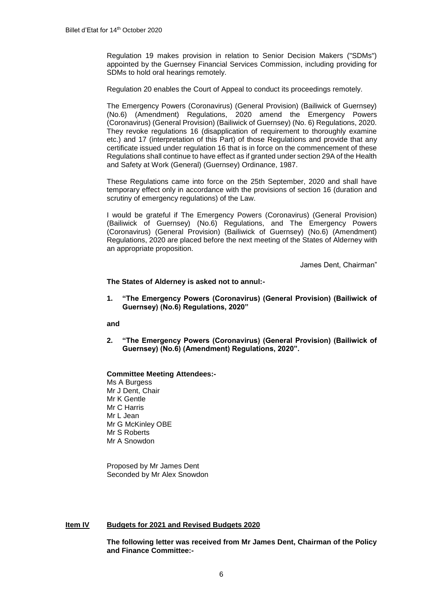Regulation 19 makes provision in relation to Senior Decision Makers ("SDMs") appointed by the Guernsey Financial Services Commission, including providing for SDMs to hold oral hearings remotely.

Regulation 20 enables the Court of Appeal to conduct its proceedings remotely.

The Emergency Powers (Coronavirus) (General Provision) (Bailiwick of Guernsey) (No.6) (Amendment) Regulations, 2020 amend the Emergency Powers (Coronavirus) (General Provision) (Bailiwick of Guernsey) (No. 6) Regulations, 2020. They revoke regulations 16 (disapplication of requirement to thoroughly examine etc.) and 17 (interpretation of this Part) of those Regulations and provide that any certificate issued under regulation 16 that is in force on the commencement of these Regulations shall continue to have effect as if granted under section 29A of the Health and Safety at Work (General) (Guernsey) Ordinance, 1987.

These Regulations came into force on the 25th September, 2020 and shall have temporary effect only in accordance with the provisions of section 16 (duration and scrutiny of emergency regulations) of the Law.

I would be grateful if The Emergency Powers (Coronavirus) (General Provision) (Bailiwick of Guernsey) (No.6) Regulations, and The Emergency Powers (Coronavirus) (General Provision) (Bailiwick of Guernsey) (No.6) (Amendment) Regulations, 2020 are placed before the next meeting of the States of Alderney with an appropriate proposition.

James Dent, Chairman"

**The States of Alderney is asked not to annul:-**

**1. "The Emergency Powers (Coronavirus) (General Provision) (Bailiwick of Guernsey) (No.6) Regulations, 2020"** 

**and** 

**2. "The Emergency Powers (Coronavirus) (General Provision) (Bailiwick of Guernsey) (No.6) (Amendment) Regulations, 2020".** 

# **Committee Meeting Attendees:-**

Ms A Burgess Mr J Dent, Chair Mr K Gentle Mr C Harris Mr L Jean Mr G McKinley OBE Mr S Roberts Mr A Snowdon

Proposed by Mr James Dent Seconded by Mr Alex Snowdon

# **Item IV Budgets for 2021 and Revised Budgets 2020**

**The following letter was received from Mr James Dent, Chairman of the Policy and Finance Committee:-**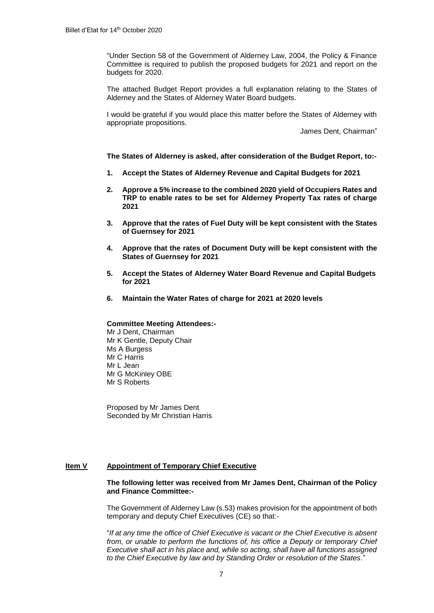"Under Section 58 of the Government of Alderney Law, 2004, the Policy & Finance Committee is required to publish the proposed budgets for 2021 and report on the budgets for 2020.

The attached Budget Report provides a full explanation relating to the States of Alderney and the States of Alderney Water Board budgets.

I would be grateful if you would place this matter before the States of Alderney with appropriate propositions.

James Dent, Chairman"

**The States of Alderney is asked, after consideration of the Budget Report, to:-**

- **1. Accept the States of Alderney Revenue and Capital Budgets for 2021**
- **2. Approve a 5% increase to the combined 2020 yield of Occupiers Rates and TRP to enable rates to be set for Alderney Property Tax rates of charge 2021**
- **3. Approve that the rates of Fuel Duty will be kept consistent with the States of Guernsey for 2021**
- **4. Approve that the rates of Document Duty will be kept consistent with the States of Guernsey for 2021**
- **5. Accept the States of Alderney Water Board Revenue and Capital Budgets for 2021**
- **6. Maintain the Water Rates of charge for 2021 at 2020 levels**

### **Committee Meeting Attendees:-**

Mr J Dent, Chairman Mr K Gentle, Deputy Chair Ms A Burgess Mr C Harris Mr L Jean Mr G McKinley OBE Mr S Roberts

Proposed by Mr James Dent Seconded by Mr Christian Harris

## **Item V Appointment of Temporary Chief Executive**

## **The following letter was received from Mr James Dent, Chairman of the Policy and Finance Committee:-**

The Government of Alderney Law (s.53) makes provision for the appointment of both temporary and deputy Chief Executives (CE) so that:-

"*If at any time the office of Chief Executive is vacant or the Chief Executive is absent from, or unable to perform the functions of, his office a Deputy or temporary Chief Executive shall act in his place and, while so acting, shall have all functions assigned to the Chief Executive by law and by Standing Order or resolution of the States*."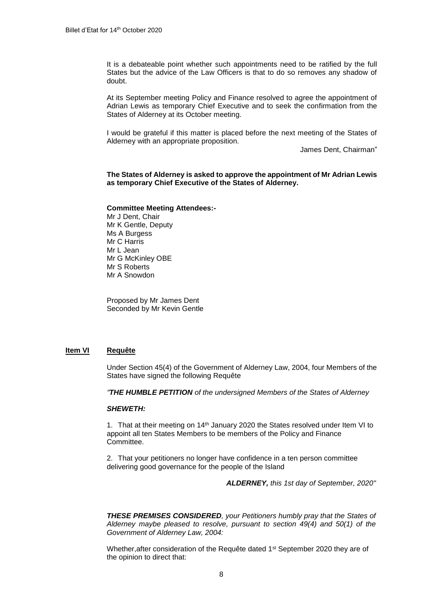It is a debateable point whether such appointments need to be ratified by the full States but the advice of the Law Officers is that to do so removes any shadow of doubt.

At its September meeting Policy and Finance resolved to agree the appointment of Adrian Lewis as temporary Chief Executive and to seek the confirmation from the States of Alderney at its October meeting.

I would be grateful if this matter is placed before the next meeting of the States of Alderney with an appropriate proposition.

James Dent, Chairman"

# **The States of Alderney is asked to approve the appointment of Mr Adrian Lewis as temporary Chief Executive of the States of Alderney.**

#### **Committee Meeting Attendees:-**

Mr J Dent, Chair Mr K Gentle, Deputy Ms A Burgess Mr C Harris Mr L Jean Mr G McKinley OBE Mr S Roberts Mr A Snowdon

Proposed by Mr James Dent Seconded by Mr Kevin Gentle

# **Item VI Requête**

Under Section 45(4) of the Government of Alderney Law, 2004, four Members of the States have signed the following Requête

*"THE HUMBLE PETITION of the undersigned Members of the States of Alderney* 

## *SHEWETH:*

1. That at their meeting on 14<sup>th</sup> January 2020 the States resolved under Item VI to appoint all ten States Members to be members of the Policy and Finance Committee.

2. That your petitioners no longer have confidence in a ten person committee delivering good governance for the people of the Island

*ALDERNEY, this 1st day of September, 2020"*

*THESE PREMISES CONSIDERED, your Petitioners humbly pray that the States of Alderney maybe pleased to resolve, pursuant to section 49(4) and 50(1) of the Government of Alderney Law, 2004:* 

Whether, after consideration of the Requête dated 1<sup>st</sup> September 2020 they are of the opinion to direct that: